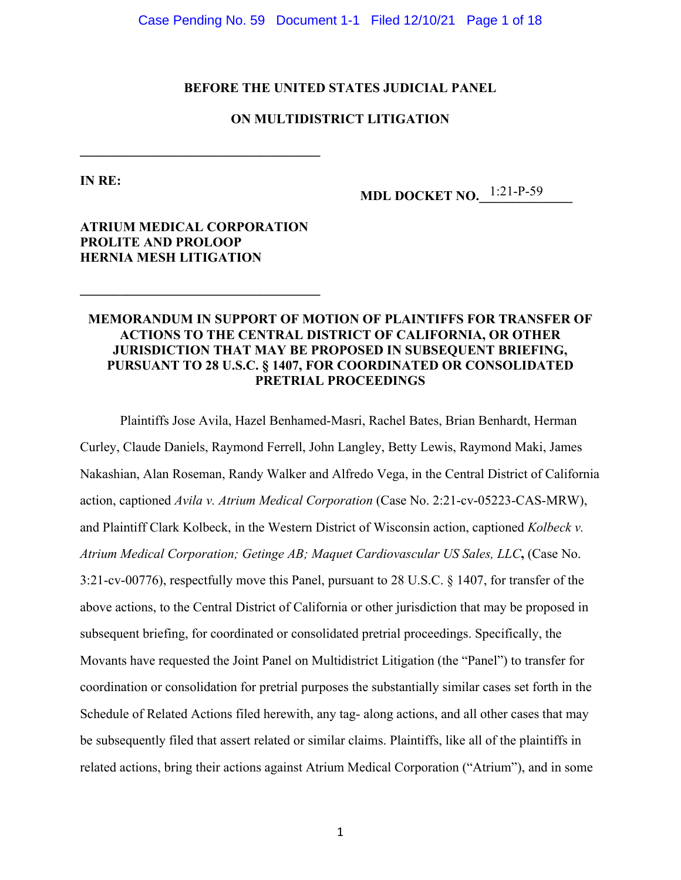Case Pending No. 59 Document 1-1 Filed 12/10/21 Page 1 of 18

## **BEFORE THE UNITED STATES JUDICIAL PANEL**

# **ON MULTIDISTRICT LITIGATION**

**IN RE:** 

**MDL DOCKET NO.** 1:21-P-59

# **ATRIUM MEDICAL CORPORATION PROLITE AND PROLOOP HERNIA MESH LITIGATION**

**\_\_\_\_\_\_\_\_\_\_\_\_\_\_\_\_\_\_\_\_\_\_\_\_\_\_\_\_\_\_\_\_\_\_\_\_** 

**\_\_\_\_\_\_\_\_\_\_\_\_\_\_\_\_\_\_\_\_\_\_\_\_\_\_\_\_\_\_\_\_\_\_\_\_** 

# **MEMORANDUM IN SUPPORT OF MOTION OF PLAINTIFFS FOR TRANSFER OF ACTIONS TO THE CENTRAL DISTRICT OF CALIFORNIA, OR OTHER JURISDICTION THAT MAY BE PROPOSED IN SUBSEQUENT BRIEFING, PURSUANT TO 28 U.S.C. § 1407, FOR COORDINATED OR CONSOLIDATED PRETRIAL PROCEEDINGS**

Plaintiffs Jose Avila, Hazel Benhamed-Masri, Rachel Bates, Brian Benhardt, Herman Curley, Claude Daniels, Raymond Ferrell, John Langley, Betty Lewis, Raymond Maki, James Nakashian, Alan Roseman, Randy Walker and Alfredo Vega, in the Central District of California action, captioned *Avila v. Atrium Medical Corporation* (Case No. 2:21-cv-05223-CAS-MRW), and Plaintiff Clark Kolbeck, in the Western District of Wisconsin action, captioned *Kolbeck v. Atrium Medical Corporation; Getinge AB; Maquet Cardiovascular US Sales, LLC***,** (Case No. 3:21-cv-00776), respectfully move this Panel, pursuant to 28 U.S.C. § 1407, for transfer of the above actions, to the Central District of California or other jurisdiction that may be proposed in subsequent briefing, for coordinated or consolidated pretrial proceedings. Specifically, the Movants have requested the Joint Panel on Multidistrict Litigation (the "Panel") to transfer for coordination or consolidation for pretrial purposes the substantially similar cases set forth in the Schedule of Related Actions filed herewith, any tag- along actions, and all other cases that may be subsequently filed that assert related or similar claims. Plaintiffs, like all of the plaintiffs in related actions, bring their actions against Atrium Medical Corporation ("Atrium"), and in some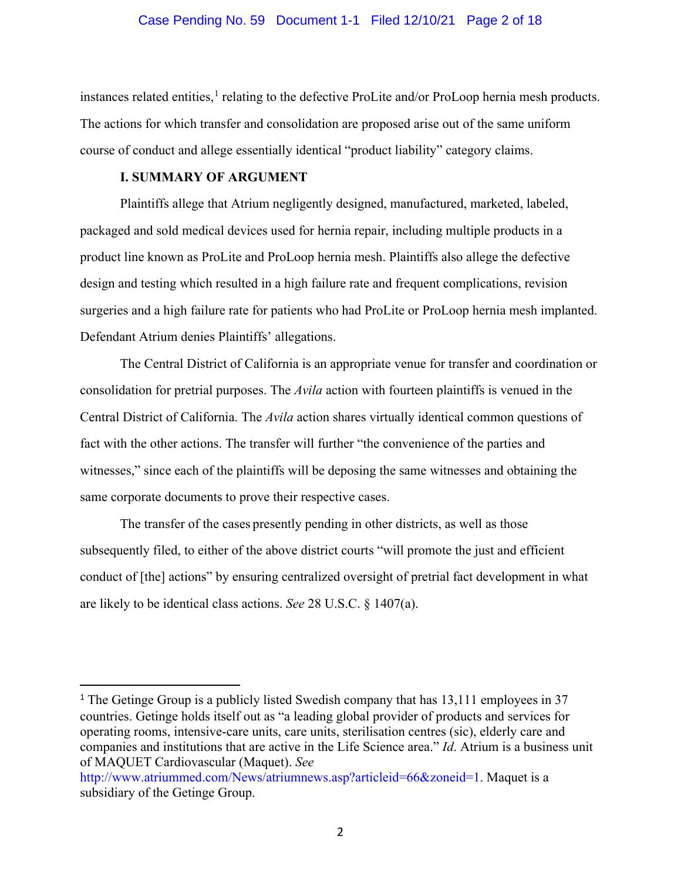#### Case Pending No. 59 Document 1-1 Filed 12/10/21 Page 2 of 18

instances related entities,<sup>[1](#page-1-0)</sup> relating to the defective ProLite and/or ProLoop hernia mesh products. The actions for which transfer and consolidation are proposed arise out of the same uniform course of conduct and allege essentially identical "product liability" category claims.

# **I. SUMMARY OF ARGUMENT**

Plaintiffs allege that Atrium negligently designed, manufactured, marketed, labeled, packaged and sold medical devices used for hernia repair, including multiple products in a product line known as ProLite and ProLoop hernia mesh. Plaintiffs also allege the defective design and testing which resulted in a high failure rate and frequent complications, revision surgeries and a high failure rate for patients who had ProLite or ProLoop hernia mesh implanted. Defendant Atrium denies Plaintiffs' allegations.

The Central District of California is an appropriate venue for transfer and coordination or consolidation for pretrial purposes. The *Avila* action with fourteen plaintiffs is venued in the Central District of California. The *Avila* action shares virtually identical common questions of fact with the other actions. The transfer will further "the convenience of the parties and witnesses," since each of the plaintiffs will be deposing the same witnesses and obtaining the same corporate documents to prove their respective cases.

The transfer of the cases presently pending in other districts, as well as those subsequently filed, to either of the above district courts "will promote the just and efficient conduct of [the] actions" by ensuring centralized oversight of pretrial fact development in what are likely to be identical class actions. *See* 28 U.S.C. § 1407(a).

<span id="page-1-0"></span><sup>&</sup>lt;sup>1</sup> The Getinge Group is a publicly listed Swedish company that has 13,111 employees in 37 countries. Getinge holds itself out as "a leading global provider of products and services for operating rooms, intensive-care units, care units, sterilisation centres (sic), elderly care and companies and institutions that are active in the Life Science area." *Id*. Atrium is a business unit of MAQUET Cardiovascular (Maquet). *See*

http://www.atriummed.com/News/atriumnews.asp?articleid=66&zoneid=1. Maquet is a subsidiary of the Getinge Group.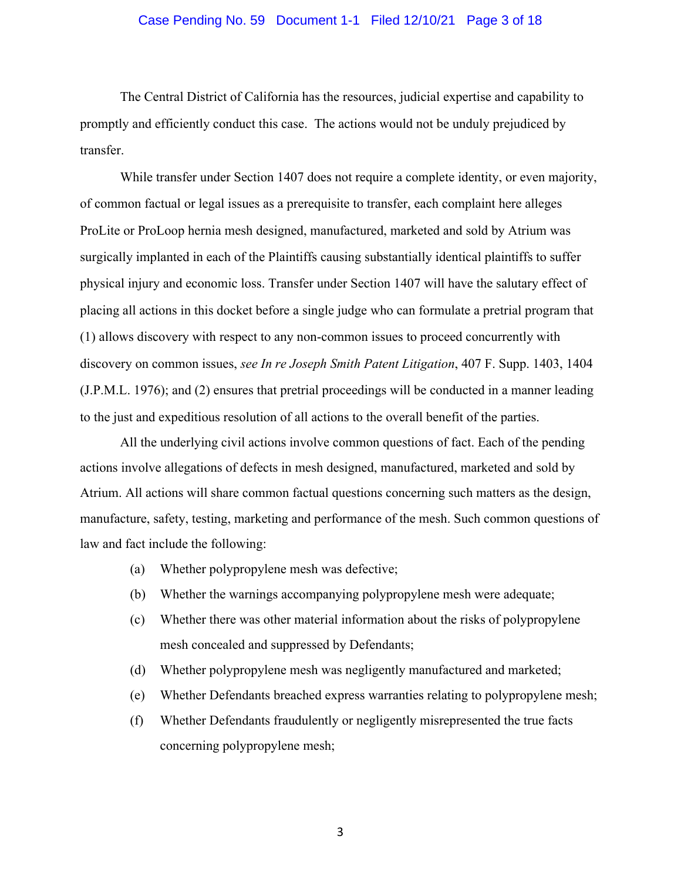#### Case Pending No. 59 Document 1-1 Filed 12/10/21 Page 3 of 18

The Central District of California has the resources, judicial expertise and capability to promptly and efficiently conduct this case. The actions would not be unduly prejudiced by transfer.

While transfer under Section 1407 does not require a complete identity, or even majority, of common factual or legal issues as a prerequisite to transfer, each complaint here alleges ProLite or ProLoop hernia mesh designed, manufactured, marketed and sold by Atrium was surgically implanted in each of the Plaintiffs causing substantially identical plaintiffs to suffer physical injury and economic loss. Transfer under Section 1407 will have the salutary effect of placing all actions in this docket before a single judge who can formulate a pretrial program that (1) allows discovery with respect to any non-common issues to proceed concurrently with discovery on common issues, *see In re Joseph Smith Patent Litigation*, 407 F. Supp. 1403, 1404 (J.P.M.L. 1976); and (2) ensures that pretrial proceedings will be conducted in a manner leading to the just and expeditious resolution of all actions to the overall benefit of the parties.

All the underlying civil actions involve common questions of fact. Each of the pending actions involve allegations of defects in mesh designed, manufactured, marketed and sold by Atrium. All actions will share common factual questions concerning such matters as the design, manufacture, safety, testing, marketing and performance of the mesh. Such common questions of law and fact include the following:

- (a) Whether polypropylene mesh was defective;
- (b) Whether the warnings accompanying polypropylene mesh were adequate;
- (c) Whether there was other material information about the risks of polypropylene mesh concealed and suppressed by Defendants;
- (d) Whether polypropylene mesh was negligently manufactured and marketed;
- (e) Whether Defendants breached express warranties relating to polypropylene mesh;
- (f) Whether Defendants fraudulently or negligently misrepresented the true facts concerning polypropylene mesh;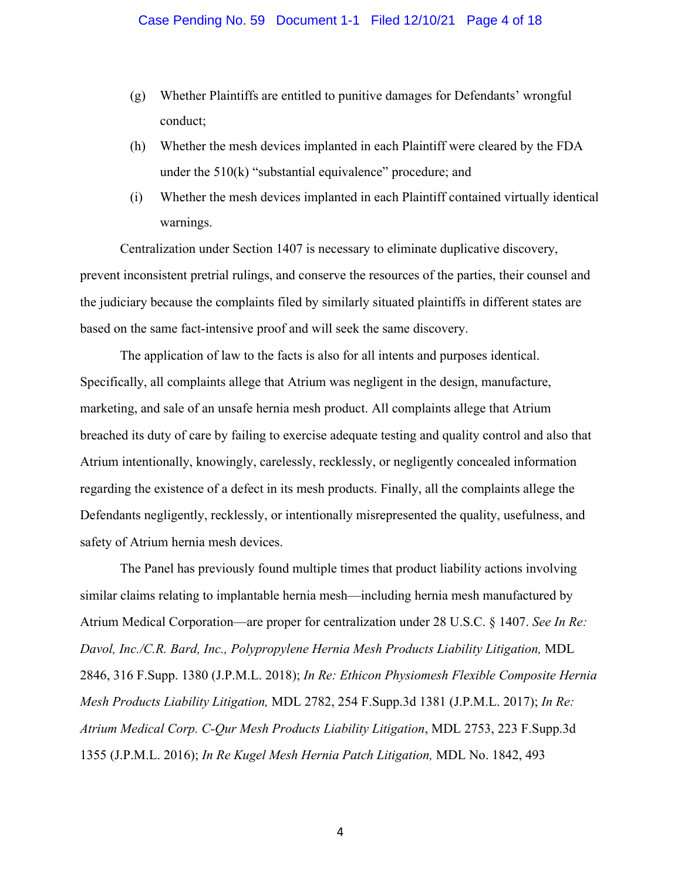- (g) Whether Plaintiffs are entitled to punitive damages for Defendants' wrongful conduct;
- (h) Whether the mesh devices implanted in each Plaintiff were cleared by the FDA under the 510(k) "substantial equivalence" procedure; and
- (i) Whether the mesh devices implanted in each Plaintiff contained virtually identical warnings.

Centralization under Section 1407 is necessary to eliminate duplicative discovery, prevent inconsistent pretrial rulings, and conserve the resources of the parties, their counsel and the judiciary because the complaints filed by similarly situated plaintiffs in different states are based on the same fact-intensive proof and will seek the same discovery.

The application of law to the facts is also for all intents and purposes identical. Specifically, all complaints allege that Atrium was negligent in the design, manufacture, marketing, and sale of an unsafe hernia mesh product. All complaints allege that Atrium breached its duty of care by failing to exercise adequate testing and quality control and also that Atrium intentionally, knowingly, carelessly, recklessly, or negligently concealed information regarding the existence of a defect in its mesh products. Finally, all the complaints allege the Defendants negligently, recklessly, or intentionally misrepresented the quality, usefulness, and safety of Atrium hernia mesh devices.

The Panel has previously found multiple times that product liability actions involving similar claims relating to implantable hernia mesh—including hernia mesh manufactured by Atrium Medical Corporation—are proper for centralization under 28 U.S.C. § 1407. *See In Re: Davol, Inc./C.R. Bard, Inc., Polypropylene Hernia Mesh Products Liability Litigation,* MDL 2846, 316 F.Supp. 1380 (J.P.M.L. 2018); *In Re: Ethicon Physiomesh Flexible Composite Hernia Mesh Products Liability Litigation,* MDL 2782, 254 F.Supp.3d 1381 (J.P.M.L. 2017); *In Re: Atrium Medical Corp. C-Qur Mesh Products Liability Litigation*, MDL 2753, 223 F.Supp.3d 1355 (J.P.M.L. 2016); *In Re Kugel Mesh Hernia Patch Litigation,* MDL No. 1842, 493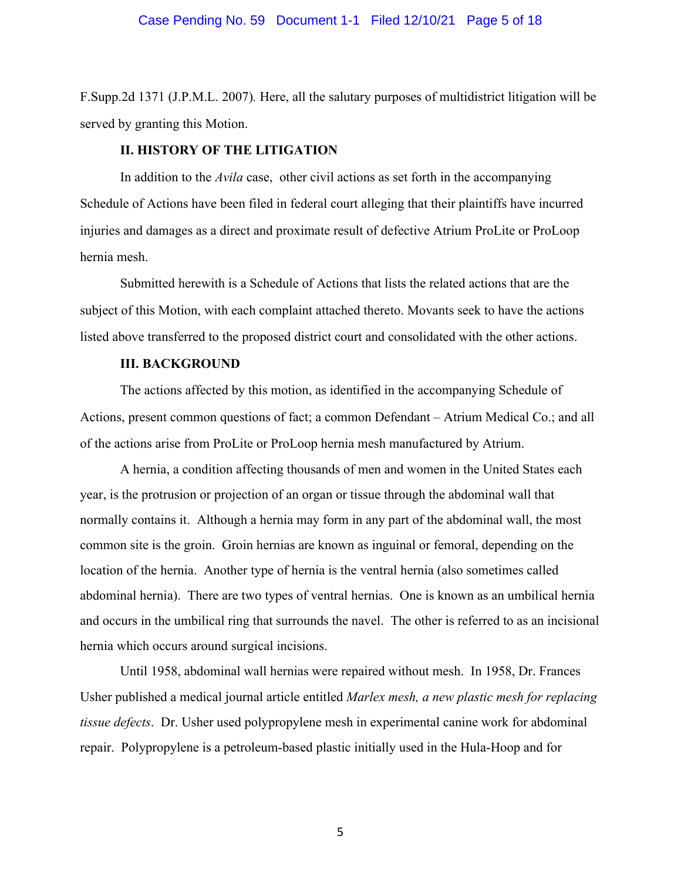#### Case Pending No. 59 Document 1-1 Filed 12/10/21 Page 5 of 18

F.Supp.2d 1371 (J.P.M.L. 2007)*.* Here, all the salutary purposes of multidistrict litigation will be served by granting this Motion.

#### **II. HISTORY OF THE LITIGATION**

In addition to the *Avila* case, other civil actions as set forth in the accompanying Schedule of Actions have been filed in federal court alleging that their plaintiffs have incurred injuries and damages as a direct and proximate result of defective Atrium ProLite or ProLoop hernia mesh.

Submitted herewith is a Schedule of Actions that lists the related actions that are the subject of this Motion, with each complaint attached thereto. Movants seek to have the actions listed above transferred to the proposed district court and consolidated with the other actions.

# **III. BACKGROUND**

The actions affected by this motion, as identified in the accompanying Schedule of Actions, present common questions of fact; a common Defendant – Atrium Medical Co.; and all of the actions arise from ProLite or ProLoop hernia mesh manufactured by Atrium.

A hernia, a condition affecting thousands of men and women in the United States each year, is the protrusion or projection of an organ or tissue through the abdominal wall that normally contains it. Although a hernia may form in any part of the abdominal wall, the most common site is the groin. Groin hernias are known as inguinal or femoral, depending on the location of the hernia. Another type of hernia is the ventral hernia (also sometimes called abdominal hernia). There are two types of ventral hernias. One is known as an umbilical hernia and occurs in the umbilical ring that surrounds the navel. The other is referred to as an incisional hernia which occurs around surgical incisions.

Until 1958, abdominal wall hernias were repaired without mesh. In 1958, Dr. Frances Usher published a medical journal article entitled *Marlex mesh, a new plastic mesh for replacing tissue defects*. Dr. Usher used polypropylene mesh in experimental canine work for abdominal repair. Polypropylene is a petroleum-based plastic initially used in the Hula-Hoop and for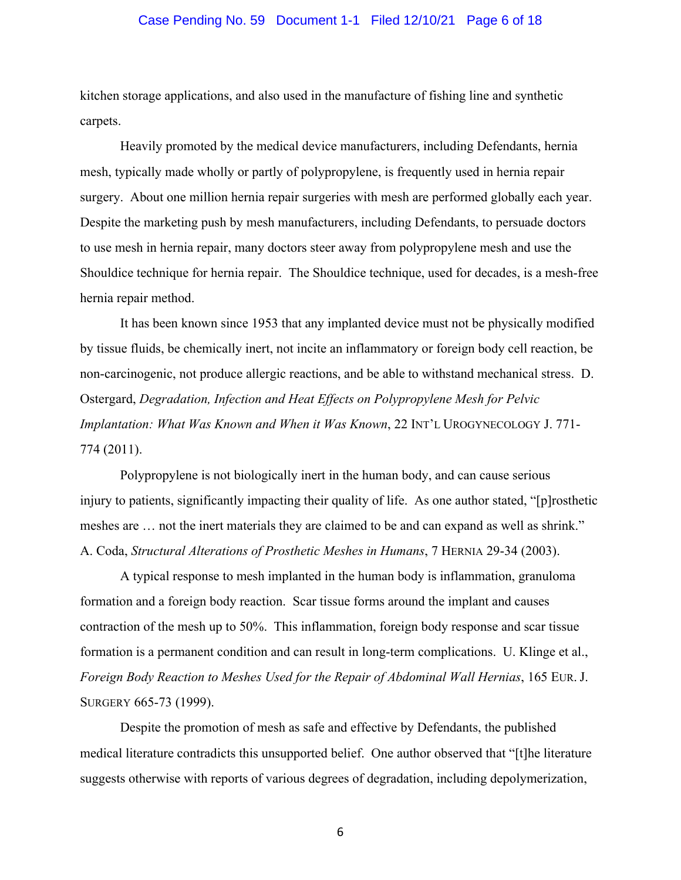#### Case Pending No. 59 Document 1-1 Filed 12/10/21 Page 6 of 18

kitchen storage applications, and also used in the manufacture of fishing line and synthetic carpets.

Heavily promoted by the medical device manufacturers, including Defendants, hernia mesh, typically made wholly or partly of polypropylene, is frequently used in hernia repair surgery. About one million hernia repair surgeries with mesh are performed globally each year. Despite the marketing push by mesh manufacturers, including Defendants, to persuade doctors to use mesh in hernia repair, many doctors steer away from polypropylene mesh and use the Shouldice technique for hernia repair. The Shouldice technique, used for decades, is a mesh-free hernia repair method.

It has been known since 1953 that any implanted device must not be physically modified by tissue fluids, be chemically inert, not incite an inflammatory or foreign body cell reaction, be non-carcinogenic, not produce allergic reactions, and be able to withstand mechanical stress. D. Ostergard, *Degradation, Infection and Heat Effects on Polypropylene Mesh for Pelvic Implantation: What Was Known and When it Was Known*, 22 INT'L UROGYNECOLOGY J. 771- 774 (2011).

Polypropylene is not biologically inert in the human body, and can cause serious injury to patients, significantly impacting their quality of life. As one author stated, "[p]rosthetic meshes are … not the inert materials they are claimed to be and can expand as well as shrink." A. Coda, *Structural Alterations of Prosthetic Meshes in Humans*, 7 HERNIA 29-34 (2003).

A typical response to mesh implanted in the human body is inflammation, granuloma formation and a foreign body reaction. Scar tissue forms around the implant and causes contraction of the mesh up to 50%. This inflammation, foreign body response and scar tissue formation is a permanent condition and can result in long-term complications. U. Klinge et al., *Foreign Body Reaction to Meshes Used for the Repair of Abdominal Wall Hernias*, 165 EUR. J. SURGERY 665-73 (1999).

Despite the promotion of mesh as safe and effective by Defendants, the published medical literature contradicts this unsupported belief. One author observed that "[t]he literature suggests otherwise with reports of various degrees of degradation, including depolymerization,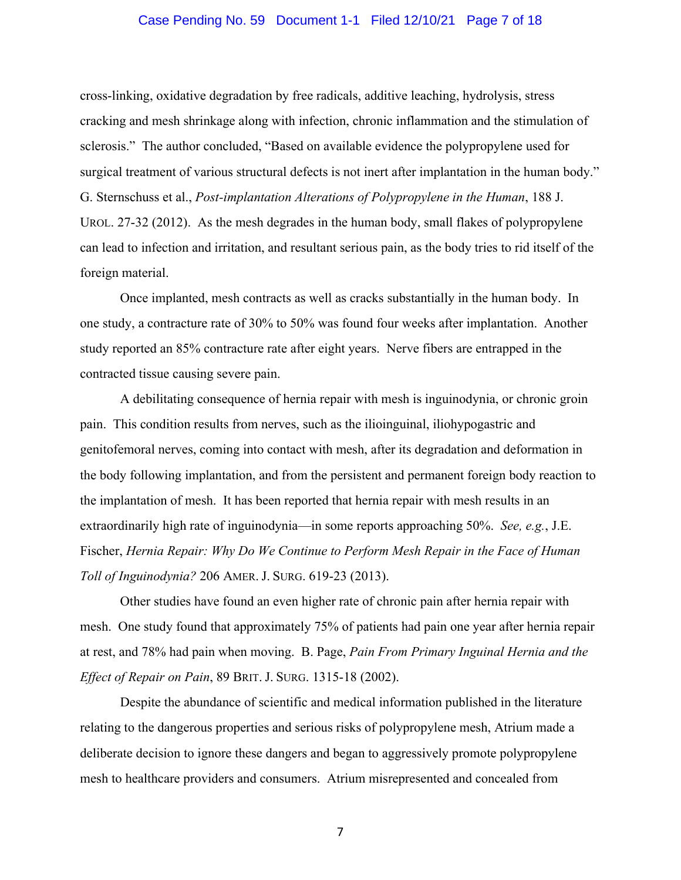#### Case Pending No. 59 Document 1-1 Filed 12/10/21 Page 7 of 18

cross-linking, oxidative degradation by free radicals, additive leaching, hydrolysis, stress cracking and mesh shrinkage along with infection, chronic inflammation and the stimulation of sclerosis." The author concluded, "Based on available evidence the polypropylene used for surgical treatment of various structural defects is not inert after implantation in the human body." G. Sternschuss et al., *Post-implantation Alterations of Polypropylene in the Human*, 188 J. UROL. 27-32 (2012). As the mesh degrades in the human body, small flakes of polypropylene can lead to infection and irritation, and resultant serious pain, as the body tries to rid itself of the foreign material.

Once implanted, mesh contracts as well as cracks substantially in the human body. In one study, a contracture rate of 30% to 50% was found four weeks after implantation. Another study reported an 85% contracture rate after eight years. Nerve fibers are entrapped in the contracted tissue causing severe pain.

A debilitating consequence of hernia repair with mesh is inguinodynia, or chronic groin pain. This condition results from nerves, such as the ilioinguinal, iliohypogastric and genitofemoral nerves, coming into contact with mesh, after its degradation and deformation in the body following implantation, and from the persistent and permanent foreign body reaction to the implantation of mesh. It has been reported that hernia repair with mesh results in an extraordinarily high rate of inguinodynia—in some reports approaching 50%. *See, e.g.*, J.E. Fischer, *Hernia Repair: Why Do We Continue to Perform Mesh Repair in the Face of Human Toll of Inguinodynia?* 206 AMER. J. SURG. 619-23 (2013).

Other studies have found an even higher rate of chronic pain after hernia repair with mesh. One study found that approximately 75% of patients had pain one year after hernia repair at rest, and 78% had pain when moving. B. Page, *Pain From Primary Inguinal Hernia and the Effect of Repair on Pain*, 89 BRIT. J. SURG. 1315-18 (2002).

Despite the abundance of scientific and medical information published in the literature relating to the dangerous properties and serious risks of polypropylene mesh, Atrium made a deliberate decision to ignore these dangers and began to aggressively promote polypropylene mesh to healthcare providers and consumers. Atrium misrepresented and concealed from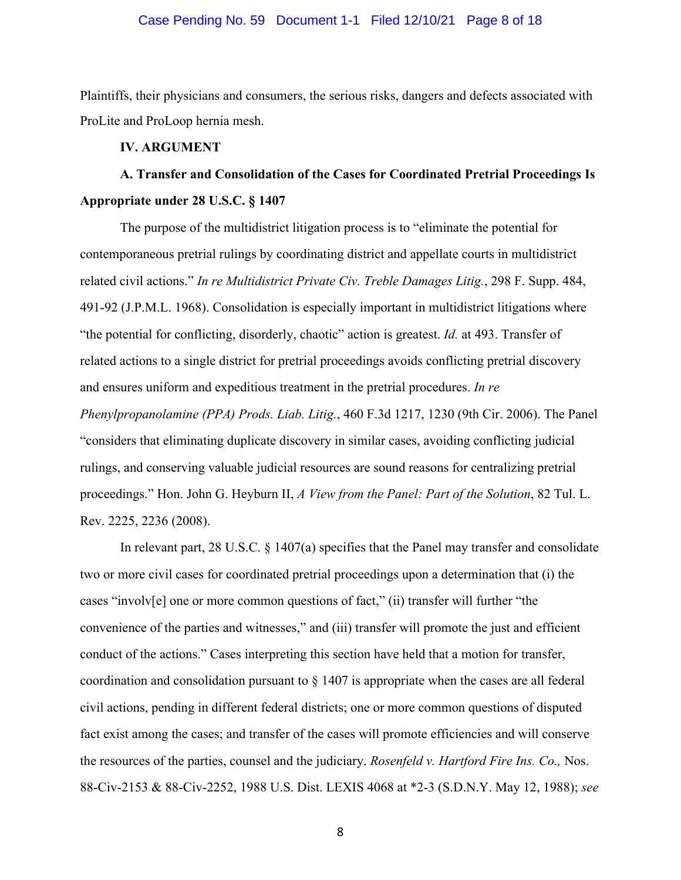#### Case Pending No. 59 Document 1-1 Filed 12/10/21 Page 8 of 18

Plaintiffs, their physicians and consumers, the serious risks, dangers and defects associated with ProLite and ProLoop hernia mesh.

#### **IV. ARGUMENT**

# **A. Transfer and Consolidation of the Cases for Coordinated Pretrial Proceedings Is Appropriate under 28 U.S.C. § 1407**

The purpose of the multidistrict litigation process is to "eliminate the potential for contemporaneous pretrial rulings by coordinating district and appellate courts in multidistrict related civil actions." *In re Multidistrict Private Civ. Treble Damages Litig.*, 298 F. Supp. 484, 491-92 (J.P.M.L. 1968). Consolidation is especially important in multidistrict litigations where "the potential for conflicting, disorderly, chaotic" action is greatest. *Id.* at 493. Transfer of related actions to a single district for pretrial proceedings avoids conflicting pretrial discovery and ensures uniform and expeditious treatment in the pretrial procedures. *In re Phenylpropanolamine (PPA) Prods. Liab. Litig.*, 460 F.3d 1217, 1230 (9th Cir. 2006). The Panel "considers that eliminating duplicate discovery in similar cases, avoiding conflicting judicial rulings, and conserving valuable judicial resources are sound reasons for centralizing pretrial proceedings." Hon. John G. Heyburn II, *A View from the Panel: Part of the Solution*, 82 Tul. L. Rev. 2225, 2236 (2008).

In relevant part, 28 U.S.C. § 1407(a) specifies that the Panel may transfer and consolidate two or more civil cases for coordinated pretrial proceedings upon a determination that (i) the cases "involv[e] one or more common questions of fact," (ii) transfer will further "the convenience of the parties and witnesses," and (iii) transfer will promote the just and efficient conduct of the actions." Cases interpreting this section have held that a motion for transfer, coordination and consolidation pursuant to § 1407 is appropriate when the cases are all federal civil actions, pending in different federal districts; one or more common questions of disputed fact exist among the cases; and transfer of the cases will promote efficiencies and will conserve the resources of the parties, counsel and the judiciary. *Rosenfeld v. Hartford Fire Ins. Co.,* Nos. 88-Civ-2153 & 88-Civ-2252, 1988 U.S. Dist. LEXIS 4068 at \*2-3 (S.D.N.Y. May 12, 1988); *see*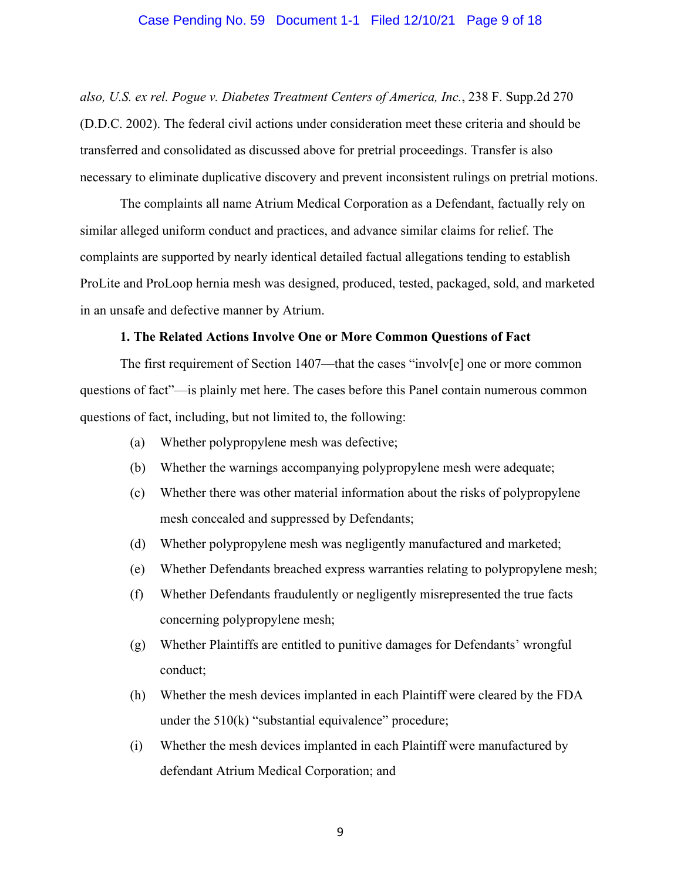#### Case Pending No. 59 Document 1-1 Filed 12/10/21 Page 9 of 18

*also, U.S. ex rel. Pogue v. Diabetes Treatment Centers of America, Inc.*, 238 F. Supp.2d 270 (D.D.C. 2002). The federal civil actions under consideration meet these criteria and should be transferred and consolidated as discussed above for pretrial proceedings. Transfer is also necessary to eliminate duplicative discovery and prevent inconsistent rulings on pretrial motions.

The complaints all name Atrium Medical Corporation as a Defendant, factually rely on similar alleged uniform conduct and practices, and advance similar claims for relief. The complaints are supported by nearly identical detailed factual allegations tending to establish ProLite and ProLoop hernia mesh was designed, produced, tested, packaged, sold, and marketed in an unsafe and defective manner by Atrium.

#### **1. The Related Actions Involve One or More Common Questions of Fact**

The first requirement of Section 1407—that the cases "involv[e] one or more common questions of fact"—is plainly met here. The cases before this Panel contain numerous common questions of fact, including, but not limited to, the following:

- (a) Whether polypropylene mesh was defective;
- (b) Whether the warnings accompanying polypropylene mesh were adequate;
- (c) Whether there was other material information about the risks of polypropylene mesh concealed and suppressed by Defendants;
- (d) Whether polypropylene mesh was negligently manufactured and marketed;
- (e) Whether Defendants breached express warranties relating to polypropylene mesh;
- (f) Whether Defendants fraudulently or negligently misrepresented the true facts concerning polypropylene mesh;
- (g) Whether Plaintiffs are entitled to punitive damages for Defendants' wrongful conduct;
- (h) Whether the mesh devices implanted in each Plaintiff were cleared by the FDA under the  $510(k)$  "substantial equivalence" procedure;
- (i) Whether the mesh devices implanted in each Plaintiff were manufactured by defendant Atrium Medical Corporation; and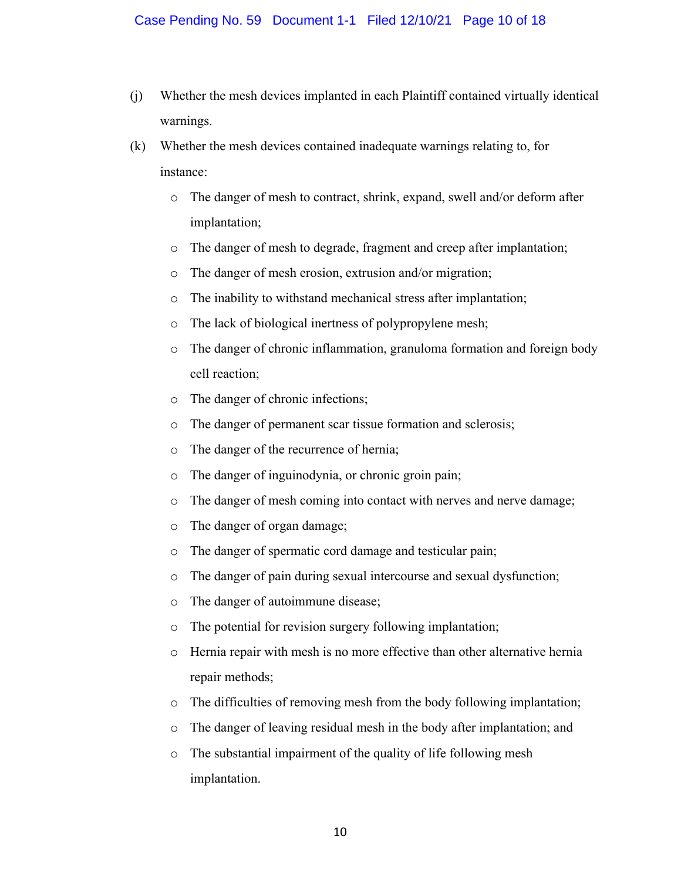- (j) Whether the mesh devices implanted in each Plaintiff contained virtually identical warnings.
- (k) Whether the mesh devices contained inadequate warnings relating to, for instance:
	- o The danger of mesh to contract, shrink, expand, swell and/or deform after implantation;
	- o The danger of mesh to degrade, fragment and creep after implantation;
	- o The danger of mesh erosion, extrusion and/or migration;
	- o The inability to withstand mechanical stress after implantation;
	- o The lack of biological inertness of polypropylene mesh;
	- o The danger of chronic inflammation, granuloma formation and foreign body cell reaction;
	- o The danger of chronic infections;
	- o The danger of permanent scar tissue formation and sclerosis;
	- o The danger of the recurrence of hernia;
	- o The danger of inguinodynia, or chronic groin pain;
	- o The danger of mesh coming into contact with nerves and nerve damage;
	- o The danger of organ damage;
	- o The danger of spermatic cord damage and testicular pain;
	- o The danger of pain during sexual intercourse and sexual dysfunction;
	- o The danger of autoimmune disease;
	- o The potential for revision surgery following implantation;
	- o Hernia repair with mesh is no more effective than other alternative hernia repair methods;
	- o The difficulties of removing mesh from the body following implantation;
	- o The danger of leaving residual mesh in the body after implantation; and
	- o The substantial impairment of the quality of life following mesh implantation.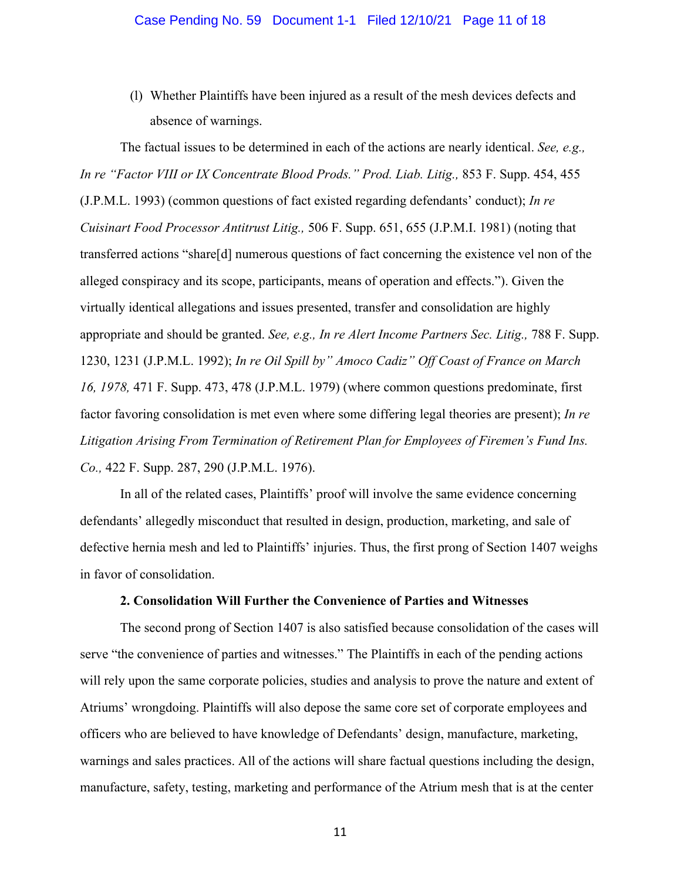#### Case Pending No. 59 Document 1-1 Filed 12/10/21 Page 11 of 18

(l) Whether Plaintiffs have been injured as a result of the mesh devices defects and absence of warnings.

The factual issues to be determined in each of the actions are nearly identical. *See, e.g., In re "Factor VIII or IX Concentrate Blood Prods." Prod. Liab. Litig.,* 853 F. Supp. 454, 455 (J.P.M.L. 1993) (common questions of fact existed regarding defendants' conduct); *In re Cuisinart Food Processor Antitrust Litig.,* 506 F. Supp. 651, 655 (J.P.M.I. 1981) (noting that transferred actions "share[d] numerous questions of fact concerning the existence vel non of the alleged conspiracy and its scope, participants, means of operation and effects."). Given the virtually identical allegations and issues presented, transfer and consolidation are highly appropriate and should be granted. *See, e.g., In re Alert Income Partners Sec. Litig.,* 788 F. Supp. 1230, 1231 (J.P.M.L. 1992); *In re Oil Spill by" Amoco Cadiz" Off Coast of France on March 16, 1978,* 471 F. Supp. 473, 478 (J.P.M.L. 1979) (where common questions predominate, first factor favoring consolidation is met even where some differing legal theories are present); *In re Litigation Arising From Termination of Retirement Plan for Employees of Firemen's Fund Ins. Co.,* 422 F. Supp. 287, 290 (J.P.M.L. 1976).

In all of the related cases, Plaintiffs' proof will involve the same evidence concerning defendants' allegedly misconduct that resulted in design, production, marketing, and sale of defective hernia mesh and led to Plaintiffs' injuries. Thus, the first prong of Section 1407 weighs in favor of consolidation.

## **2. Consolidation Will Further the Convenience of Parties and Witnesses**

The second prong of Section 1407 is also satisfied because consolidation of the cases will serve "the convenience of parties and witnesses." The Plaintiffs in each of the pending actions will rely upon the same corporate policies, studies and analysis to prove the nature and extent of Atriums' wrongdoing. Plaintiffs will also depose the same core set of corporate employees and officers who are believed to have knowledge of Defendants' design, manufacture, marketing, warnings and sales practices. All of the actions will share factual questions including the design, manufacture, safety, testing, marketing and performance of the Atrium mesh that is at the center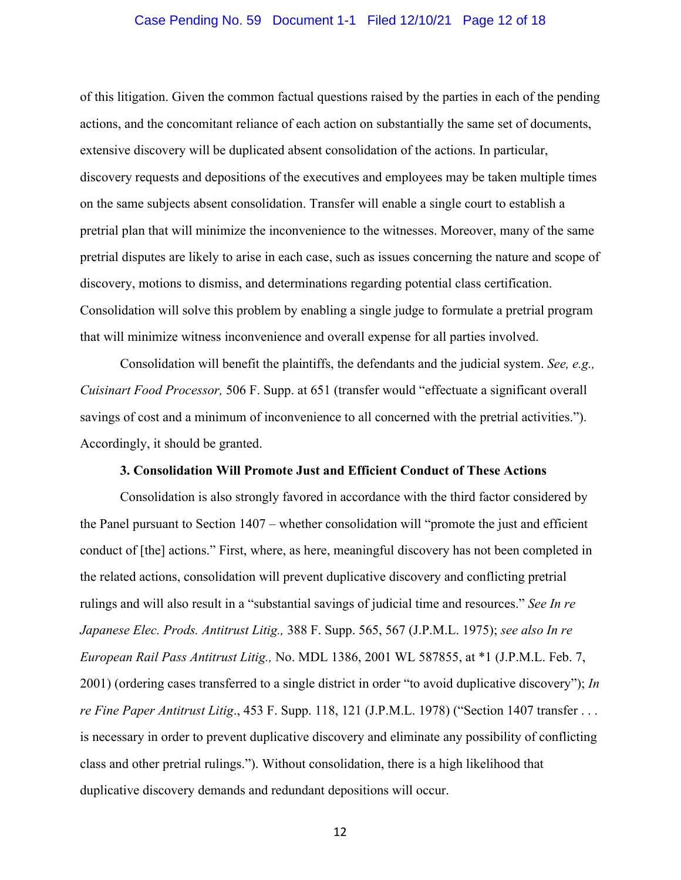#### Case Pending No. 59 Document 1-1 Filed 12/10/21 Page 12 of 18

of this litigation. Given the common factual questions raised by the parties in each of the pending actions, and the concomitant reliance of each action on substantially the same set of documents, extensive discovery will be duplicated absent consolidation of the actions. In particular, discovery requests and depositions of the executives and employees may be taken multiple times on the same subjects absent consolidation. Transfer will enable a single court to establish a pretrial plan that will minimize the inconvenience to the witnesses. Moreover, many of the same pretrial disputes are likely to arise in each case, such as issues concerning the nature and scope of discovery, motions to dismiss, and determinations regarding potential class certification. Consolidation will solve this problem by enabling a single judge to formulate a pretrial program that will minimize witness inconvenience and overall expense for all parties involved.

Consolidation will benefit the plaintiffs, the defendants and the judicial system. *See, e.g., Cuisinart Food Processor,* 506 F. Supp. at 651 (transfer would "effectuate a significant overall savings of cost and a minimum of inconvenience to all concerned with the pretrial activities."). Accordingly, it should be granted.

## **3. Consolidation Will Promote Just and Efficient Conduct of These Actions**

Consolidation is also strongly favored in accordance with the third factor considered by the Panel pursuant to Section 1407 – whether consolidation will "promote the just and efficient conduct of [the] actions." First, where, as here, meaningful discovery has not been completed in the related actions, consolidation will prevent duplicative discovery and conflicting pretrial rulings and will also result in a "substantial savings of judicial time and resources." *See In re Japanese Elec. Prods. Antitrust Litig.,* 388 F. Supp. 565, 567 (J.P.M.L. 1975); *see also In re European Rail Pass Antitrust Litig.,* No. MDL 1386, 2001 WL 587855, at \*1 (J.P.M.L. Feb. 7, 2001) (ordering cases transferred to a single district in order "to avoid duplicative discovery"); *In re Fine Paper Antitrust Litig*., 453 F. Supp. 118, 121 (J.P.M.L. 1978) ("Section 1407 transfer . . . is necessary in order to prevent duplicative discovery and eliminate any possibility of conflicting class and other pretrial rulings."). Without consolidation, there is a high likelihood that duplicative discovery demands and redundant depositions will occur.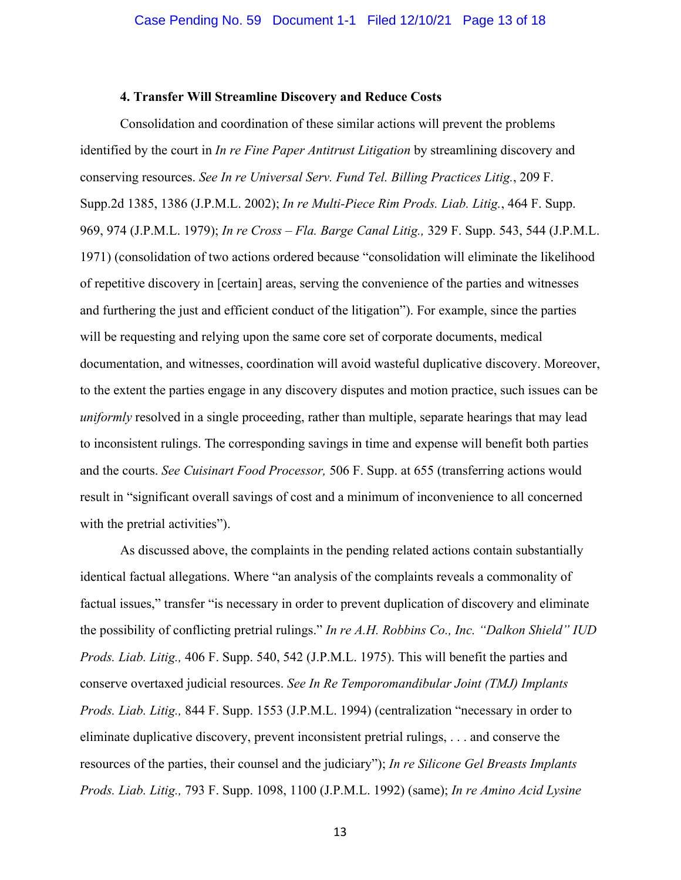#### **4. Transfer Will Streamline Discovery and Reduce Costs**

Consolidation and coordination of these similar actions will prevent the problems identified by the court in *In re Fine Paper Antitrust Litigation* by streamlining discovery and conserving resources. *See In re Universal Serv. Fund Tel. Billing Practices Litig.*, 209 F. Supp.2d 1385, 1386 (J.P.M.L. 2002); *In re Multi-Piece Rim Prods. Liab. Litig.*, 464 F. Supp. 969, 974 (J.P.M.L. 1979); *In re Cross – Fla. Barge Canal Litig.,* 329 F. Supp. 543, 544 (J.P.M.L. 1971) (consolidation of two actions ordered because "consolidation will eliminate the likelihood of repetitive discovery in [certain] areas, serving the convenience of the parties and witnesses and furthering the just and efficient conduct of the litigation"). For example, since the parties will be requesting and relying upon the same core set of corporate documents, medical documentation, and witnesses, coordination will avoid wasteful duplicative discovery. Moreover, to the extent the parties engage in any discovery disputes and motion practice, such issues can be *uniformly* resolved in a single proceeding, rather than multiple, separate hearings that may lead to inconsistent rulings. The corresponding savings in time and expense will benefit both parties and the courts. *See Cuisinart Food Processor,* 506 F. Supp. at 655 (transferring actions would result in "significant overall savings of cost and a minimum of inconvenience to all concerned with the pretrial activities".

As discussed above, the complaints in the pending related actions contain substantially identical factual allegations. Where "an analysis of the complaints reveals a commonality of factual issues," transfer "is necessary in order to prevent duplication of discovery and eliminate the possibility of conflicting pretrial rulings." *In re A.H. Robbins Co., Inc. "Dalkon Shield" IUD Prods. Liab. Litig.,* 406 F. Supp. 540, 542 (J.P.M.L. 1975). This will benefit the parties and conserve overtaxed judicial resources. *See In Re Temporomandibular Joint (TMJ) Implants Prods. Liab. Litig.,* 844 F. Supp. 1553 (J.P.M.L. 1994) (centralization "necessary in order to eliminate duplicative discovery, prevent inconsistent pretrial rulings, . . . and conserve the resources of the parties, their counsel and the judiciary"); *In re Silicone Gel Breasts Implants Prods. Liab. Litig.,* 793 F. Supp. 1098, 1100 (J.P.M.L. 1992) (same); *In re Amino Acid Lysine*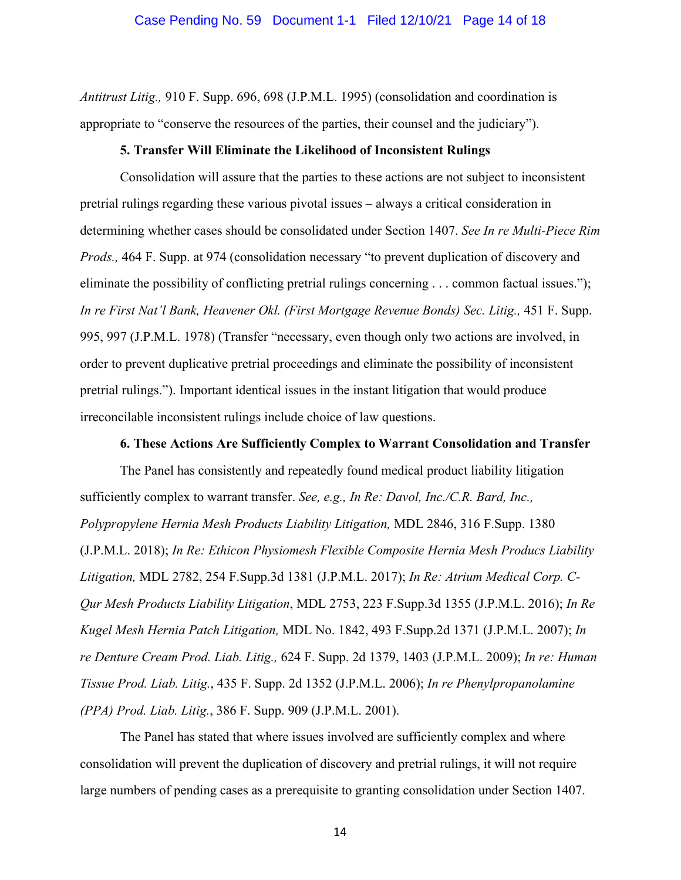*Antitrust Litig.,* 910 F. Supp. 696, 698 (J.P.M.L. 1995) (consolidation and coordination is appropriate to "conserve the resources of the parties, their counsel and the judiciary").

### **5. Transfer Will Eliminate the Likelihood of Inconsistent Rulings**

Consolidation will assure that the parties to these actions are not subject to inconsistent pretrial rulings regarding these various pivotal issues – always a critical consideration in determining whether cases should be consolidated under Section 1407. *See In re Multi-Piece Rim Prods.,* 464 F. Supp. at 974 (consolidation necessary "to prevent duplication of discovery and eliminate the possibility of conflicting pretrial rulings concerning . . . common factual issues."); In re First Nat'l Bank, Heavener Okl. (First Mortgage Revenue Bonds) Sec. Litig., 451 F. Supp. 995, 997 (J.P.M.L. 1978) (Transfer "necessary, even though only two actions are involved, in order to prevent duplicative pretrial proceedings and eliminate the possibility of inconsistent pretrial rulings."). Important identical issues in the instant litigation that would produce irreconcilable inconsistent rulings include choice of law questions.

#### **6. These Actions Are Sufficiently Complex to Warrant Consolidation and Transfer**

The Panel has consistently and repeatedly found medical product liability litigation sufficiently complex to warrant transfer. *See, e.g., In Re: Davol, Inc./C.R. Bard, Inc., Polypropylene Hernia Mesh Products Liability Litigation,* MDL 2846, 316 F.Supp. 1380 (J.P.M.L. 2018); *In Re: Ethicon Physiomesh Flexible Composite Hernia Mesh Producs Liability Litigation,* MDL 2782, 254 F.Supp.3d 1381 (J.P.M.L. 2017); *In Re: Atrium Medical Corp. C-Qur Mesh Products Liability Litigation*, MDL 2753, 223 F.Supp.3d 1355 (J.P.M.L. 2016); *In Re Kugel Mesh Hernia Patch Litigation,* MDL No. 1842, 493 F.Supp.2d 1371 (J.P.M.L. 2007); *In re Denture Cream Prod. Liab. Litig.,* 624 F. Supp. 2d 1379, 1403 (J.P.M.L. 2009); *In re: Human Tissue Prod. Liab. Litig.*, 435 F. Supp. 2d 1352 (J.P.M.L. 2006); *In re Phenylpropanolamine (PPA) Prod. Liab. Litig.*, 386 F. Supp. 909 (J.P.M.L. 2001).

The Panel has stated that where issues involved are sufficiently complex and where consolidation will prevent the duplication of discovery and pretrial rulings, it will not require large numbers of pending cases as a prerequisite to granting consolidation under Section 1407.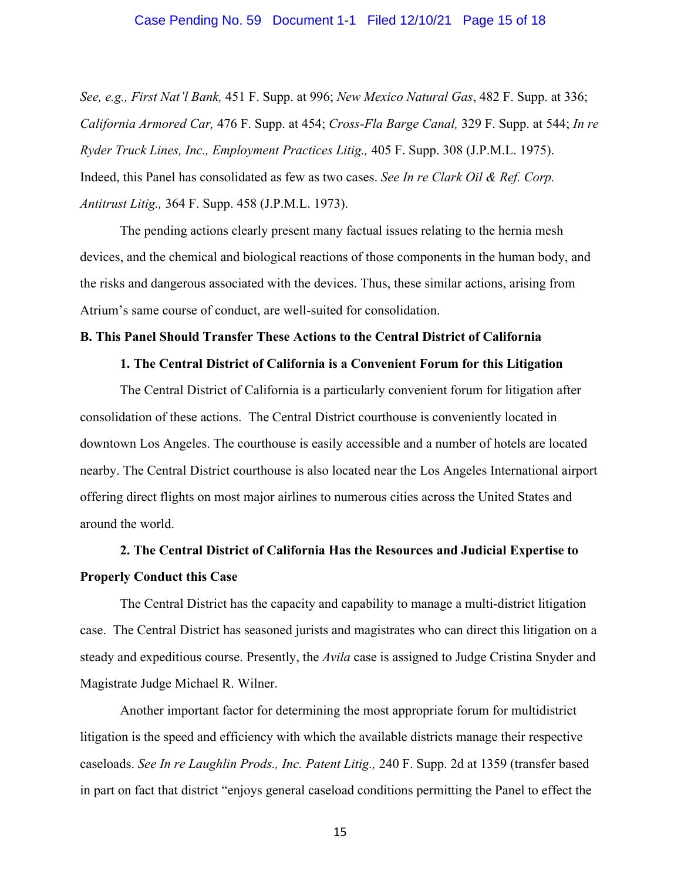#### Case Pending No. 59 Document 1-1 Filed 12/10/21 Page 15 of 18

*See, e.g., First Nat'l Bank,* 451 F. Supp. at 996; *New Mexico Natural Gas*, 482 F. Supp. at 336; *California Armored Car,* 476 F. Supp. at 454; *Cross-Fla Barge Canal,* 329 F. Supp. at 544; *In re Ryder Truck Lines, Inc., Employment Practices Litig.,* 405 F. Supp. 308 (J.P.M.L. 1975). Indeed, this Panel has consolidated as few as two cases. *See In re Clark Oil & Ref. Corp. Antitrust Litig.,* 364 F. Supp. 458 (J.P.M.L. 1973).

The pending actions clearly present many factual issues relating to the hernia mesh devices, and the chemical and biological reactions of those components in the human body, and the risks and dangerous associated with the devices. Thus, these similar actions, arising from Atrium's same course of conduct, are well-suited for consolidation.

#### **B. This Panel Should Transfer These Actions to the Central District of California**

## **1. The Central District of California is a Convenient Forum for this Litigation**

The Central District of California is a particularly convenient forum for litigation after consolidation of these actions. The Central District courthouse is conveniently located in downtown Los Angeles. The courthouse is easily accessible and a number of hotels are located nearby. The Central District courthouse is also located near the Los Angeles International airport offering direct flights on most major airlines to numerous cities across the United States and around the world.

# **2. The Central District of California Has the Resources and Judicial Expertise to Properly Conduct this Case**

The Central District has the capacity and capability to manage a multi-district litigation case. The Central District has seasoned jurists and magistrates who can direct this litigation on a steady and expeditious course. Presently, the *Avila* case is assigned to Judge Cristina Snyder and Magistrate Judge Michael R. Wilner.

Another important factor for determining the most appropriate forum for multidistrict litigation is the speed and efficiency with which the available districts manage their respective caseloads. *See In re Laughlin Prods., Inc. Patent Litig.,* 240 F. Supp. 2d at 1359 (transfer based in part on fact that district "enjoys general caseload conditions permitting the Panel to effect the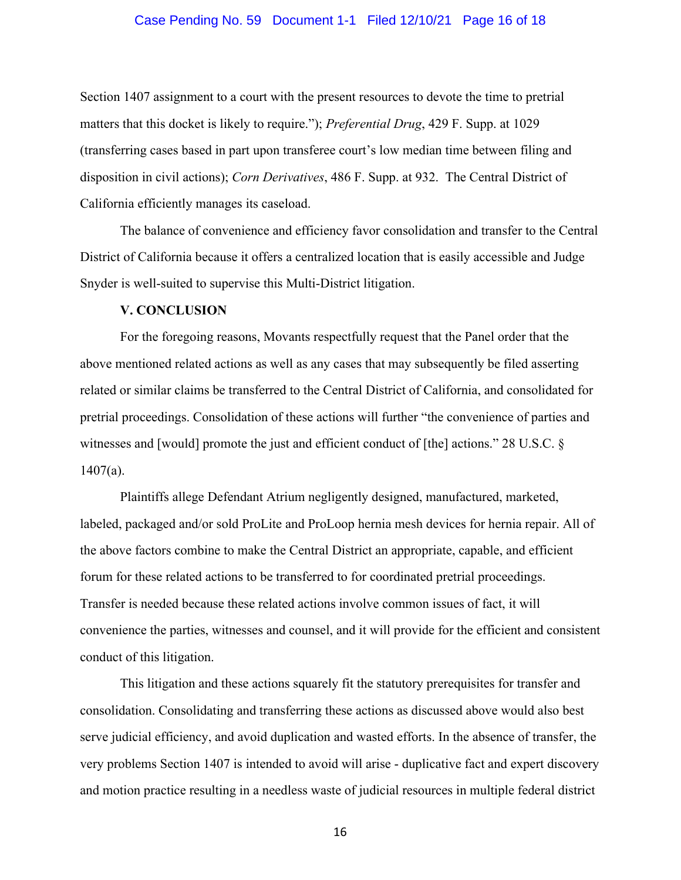#### Case Pending No. 59 Document 1-1 Filed 12/10/21 Page 16 of 18

Section 1407 assignment to a court with the present resources to devote the time to pretrial matters that this docket is likely to require."); *Preferential Drug*, 429 F. Supp. at 1029 (transferring cases based in part upon transferee court's low median time between filing and disposition in civil actions); *Corn Derivatives*, 486 F. Supp. at 932. The Central District of California efficiently manages its caseload.

The balance of convenience and efficiency favor consolidation and transfer to the Central District of California because it offers a centralized location that is easily accessible and Judge Snyder is well-suited to supervise this Multi-District litigation.

#### **V. CONCLUSION**

For the foregoing reasons, Movants respectfully request that the Panel order that the above mentioned related actions as well as any cases that may subsequently be filed asserting related or similar claims be transferred to the Central District of California, and consolidated for pretrial proceedings. Consolidation of these actions will further "the convenience of parties and witnesses and [would] promote the just and efficient conduct of [the] actions." 28 U.S.C. § 1407(a).

Plaintiffs allege Defendant Atrium negligently designed, manufactured, marketed, labeled, packaged and/or sold ProLite and ProLoop hernia mesh devices for hernia repair. All of the above factors combine to make the Central District an appropriate, capable, and efficient forum for these related actions to be transferred to for coordinated pretrial proceedings. Transfer is needed because these related actions involve common issues of fact, it will convenience the parties, witnesses and counsel, and it will provide for the efficient and consistent conduct of this litigation.

This litigation and these actions squarely fit the statutory prerequisites for transfer and consolidation. Consolidating and transferring these actions as discussed above would also best serve judicial efficiency, and avoid duplication and wasted efforts. In the absence of transfer, the very problems Section 1407 is intended to avoid will arise - duplicative fact and expert discovery and motion practice resulting in a needless waste of judicial resources in multiple federal district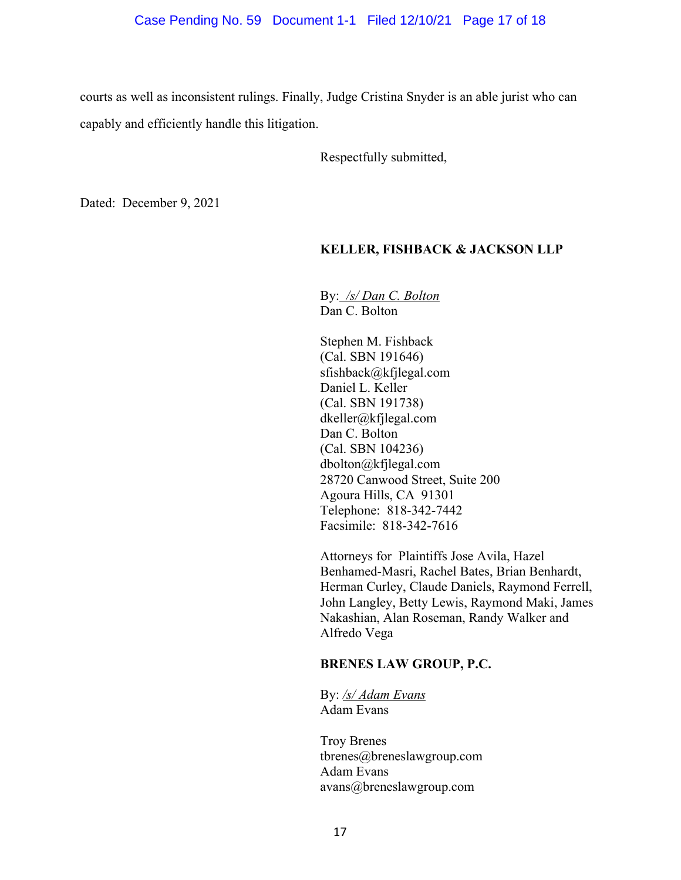courts as well as inconsistent rulings. Finally, Judge Cristina Snyder is an able jurist who can capably and efficiently handle this litigation.

Respectfully submitted,

Dated: December 9, 2021

# **KELLER, FISHBACK & JACKSON LLP**

By: */s/ Dan C. Bolton* Dan C. Bolton

Stephen M. Fishback (Cal. SBN 191646) sfishback@kfjlegal.com Daniel L. Keller (Cal. SBN 191738) dkeller@kfjlegal.com Dan C. Bolton (Cal. SBN 104236) dbolton@kfjlegal.com 28720 Canwood Street, Suite 200 Agoura Hills, CA 91301 Telephone: 818-342-7442 Facsimile: 818-342-7616

Attorneys for Plaintiffs Jose Avila, Hazel Benhamed-Masri, Rachel Bates, Brian Benhardt, Herman Curley, Claude Daniels, Raymond Ferrell, John Langley, Betty Lewis, Raymond Maki, James Nakashian, Alan Roseman, Randy Walker and Alfredo Vega

# **BRENES LAW GROUP, P.C.**

By: */s/ Adam Evans* Adam Evans

Troy Brenes tbrenes@breneslawgroup.com Adam Evans avans@breneslawgroup.com